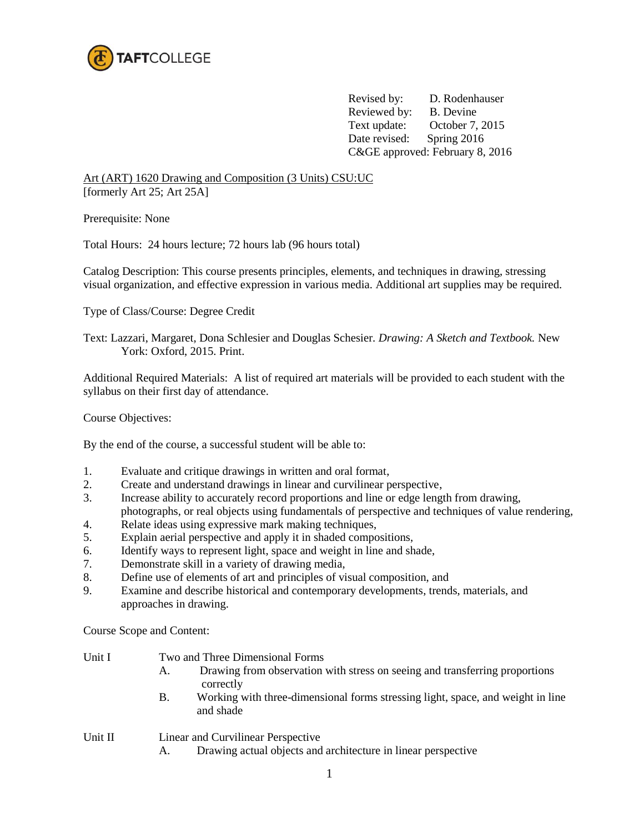

 Revised by: D. Rodenhauser Reviewed by: B. Devine Text update: October 7, 2015 Date revised: Spring 2016 C&GE approved: February 8, 2016

Art (ART) 1620 Drawing and Composition (3 Units) CSU:UC [formerly Art 25; Art 25A]

Prerequisite: None

Total Hours: 24 hours lecture; 72 hours lab (96 hours total)

Catalog Description: This course presents principles, elements, and techniques in drawing, stressing visual organization, and effective expression in various media. Additional art supplies may be required.

Type of Class/Course: Degree Credit

Text: Lazzari, Margaret, Dona Schlesier and Douglas Schesier. *Drawing: A Sketch and Textbook.* New York: Oxford, 2015. Print.

Additional Required Materials: A list of required art materials will be provided to each student with the syllabus on their first day of attendance.

Course Objectives:

By the end of the course, a successful student will be able to:

- 1. Evaluate and critique drawings in written and oral format,
- 2. Create and understand drawings in linear and curvilinear perspective,
- 3. Increase ability to accurately record proportions and line or edge length from drawing,

 photographs, or real objects using fundamentals of perspective and techniques of value rendering, 4. Relate ideas using expressive mark making techniques,

- 5. Explain aerial perspective and apply it in shaded compositions,
- 6. Identify ways to represent light, space and weight in line and shade,
- 7. Demonstrate skill in a variety of drawing media,
- 8. Define use of elements of art and principles of visual composition, and
- 9. Examine and describe historical and contemporary developments, trends, materials, and approaches in drawing.

Course Scope and Content:

| Unit I  | Two and Three Dimensional Forms                                                                           |  |  |  |
|---------|-----------------------------------------------------------------------------------------------------------|--|--|--|
|         | Drawing from observation with stress on seeing and transferring proportions<br>А.<br>correctly            |  |  |  |
|         | Working with three-dimensional forms stressing light, space, and weight in line<br>B.<br>and shade        |  |  |  |
| Unit II | Linear and Curvilinear Perspective<br>Drawing actual objects and architecture in linear perspective<br>А. |  |  |  |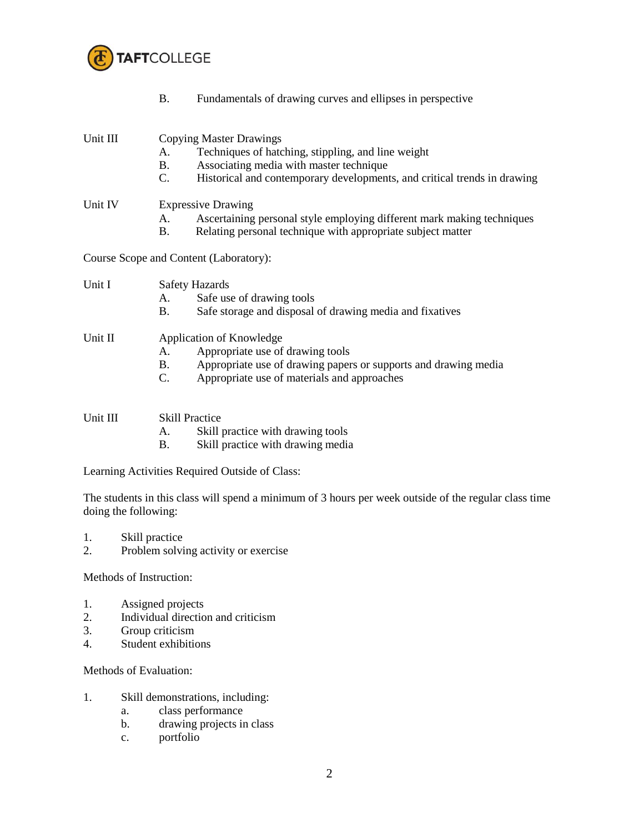

|          | <b>B.</b>                                | Fundamentals of drawing curves and ellipses in perspective                                                                                                                                                  |
|----------|------------------------------------------|-------------------------------------------------------------------------------------------------------------------------------------------------------------------------------------------------------------|
| Unit III | A.<br>B.<br>$C_{\cdot}$                  | <b>Copying Master Drawings</b><br>Techniques of hatching, stippling, and line weight<br>Associating media with master technique<br>Historical and contemporary developments, and critical trends in drawing |
| Unit IV  | A.<br><b>B.</b>                          | <b>Expressive Drawing</b><br>Ascertaining personal style employing different mark making techniques<br>Relating personal technique with appropriate subject matter                                          |
|          |                                          | Course Scope and Content (Laboratory):                                                                                                                                                                      |
| Unit I   | A.<br><b>B.</b>                          | <b>Safety Hazards</b><br>Safe use of drawing tools<br>Safe storage and disposal of drawing media and fixatives                                                                                              |
| Unit II  | A.<br><b>B.</b><br>$C_{\cdot}$           | Application of Knowledge<br>Appropriate use of drawing tools<br>Appropriate use of drawing papers or supports and drawing media<br>Appropriate use of materials and approaches                              |
| Unit III | <b>Skill Practice</b><br>A.<br><b>B.</b> | Skill practice with drawing tools<br>Skill practice with drawing media                                                                                                                                      |

Learning Activities Required Outside of Class:

The students in this class will spend a minimum of 3 hours per week outside of the regular class time doing the following:

- 1. Skill practice
- 2. Problem solving activity or exercise

Methods of Instruction:

- 1. Assigned projects
- 2. Individual direction and criticism
- 3. Group criticism<br>4. Student exhibition
- Student exhibitions

Methods of Evaluation:

- 1. Skill demonstrations, including:
	- a. class performance
	- b. drawing projects in class
	- c. portfolio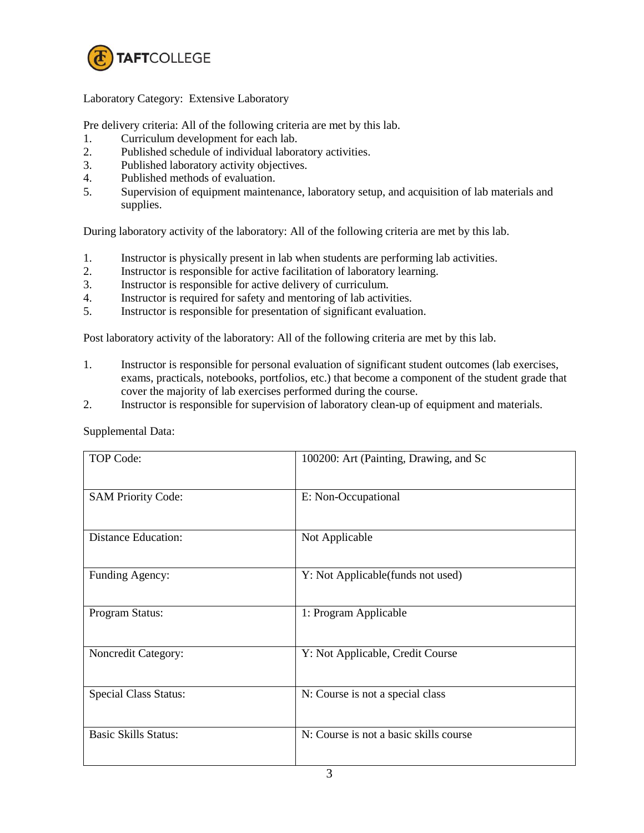

## Laboratory Category: Extensive Laboratory

Pre delivery criteria: All of the following criteria are met by this lab.

- 1. Curriculum development for each lab.
- 2. Published schedule of individual laboratory activities.
- 3. Published laboratory activity objectives.
- 4. Published methods of evaluation.
- 5. Supervision of equipment maintenance, laboratory setup, and acquisition of lab materials and supplies.

During laboratory activity of the laboratory: All of the following criteria are met by this lab.

- 1. Instructor is physically present in lab when students are performing lab activities.
- 2. Instructor is responsible for active facilitation of laboratory learning.
- 3. Instructor is responsible for active delivery of curriculum.
- 4. Instructor is required for safety and mentoring of lab activities.
- 5. Instructor is responsible for presentation of significant evaluation.

Post laboratory activity of the laboratory: All of the following criteria are met by this lab.

- 1. Instructor is responsible for personal evaluation of significant student outcomes (lab exercises, exams, practicals, notebooks, portfolios, etc.) that become a component of the student grade that cover the majority of lab exercises performed during the course.
- 2. Instructor is responsible for supervision of laboratory clean-up of equipment and materials.

| <b>TOP Code:</b>             | 100200: Art (Painting, Drawing, and Sc |
|------------------------------|----------------------------------------|
|                              |                                        |
| <b>SAM Priority Code:</b>    | E: Non-Occupational                    |
| <b>Distance Education:</b>   | Not Applicable                         |
| Funding Agency:              | Y: Not Applicable (funds not used)     |
| Program Status:              | 1: Program Applicable                  |
| Noncredit Category:          | Y: Not Applicable, Credit Course       |
| <b>Special Class Status:</b> | N: Course is not a special class       |
| <b>Basic Skills Status:</b>  | N: Course is not a basic skills course |

Supplemental Data: